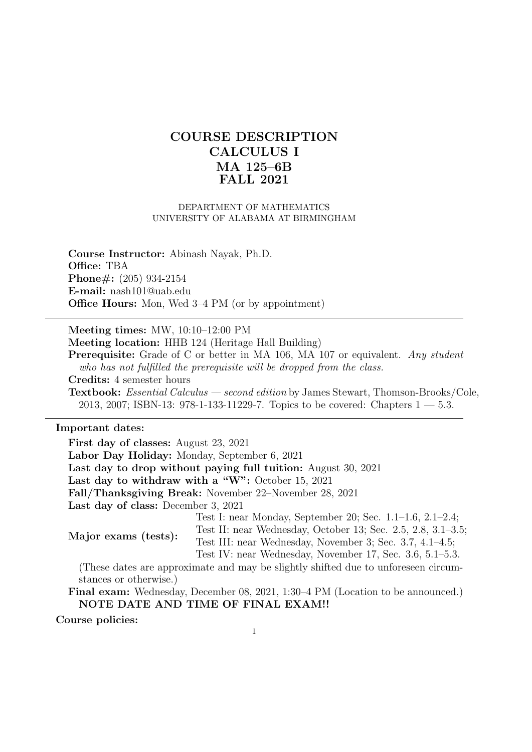# COURSE DESCRIPTION CALCULUS I MA 125–6B FALL 2021

#### DEPARTMENT OF MATHEMATICS UNIVERSITY OF ALABAMA AT BIRMINGHAM

Course Instructor: Abinash Nayak, Ph.D. Office: TBA Phone#: (205) 934-2154 E-mail: nash101@uab.edu Office Hours: Mon, Wed 3–4 PM (or by appointment)

Meeting times: MW, 10:10–12:00 PM

Meeting location: HHB 124 (Heritage Hall Building)

Prerequisite: Grade of C or better in MA 106, MA 107 or equivalent. Any student who has not fulfilled the prerequisite will be dropped from the class. Credits: 4 semester hours Textbook: Essential Calculus — second edition by James Stewart, Thomson-Brooks/Cole, 2013, 2007; ISBN-13: 978-1-133-11229-7. Topics to be covered: Chapters  $1 - 5.3$ .

### Important dates:

First day of classes: August 23, 2021

Labor Day Holiday: Monday, September 6, 2021

Last day to drop without paying full tuition: August 30, 2021

Last day to withdraw with a "W": October 15, 2021

Fall/Thanksgiving Break: November 22–November 28, 2021

Last day of class: December 3, 2021

Test I: near Monday, September 20; Sec. 1.1–1.6, 2.1–2.4;

Test II: near Wednesday, October 13; Sec. 2.5, 2.8, 3.1–3.5; Test III: near Wednesday, November 3; Sec. 3.7, 4.1–4.5;

Major exams (tests):

Test IV: near Wednesday, November 17, Sec. 3.6, 5.1–5.3.

(These dates are approximate and may be slightly shifted due to unforeseen circumstances or otherwise.)

Final exam: Wednesday, December 08, 2021, 1:30–4 PM (Location to be announced.) NOTE DATE AND TIME OF FINAL EXAM!!

Course policies: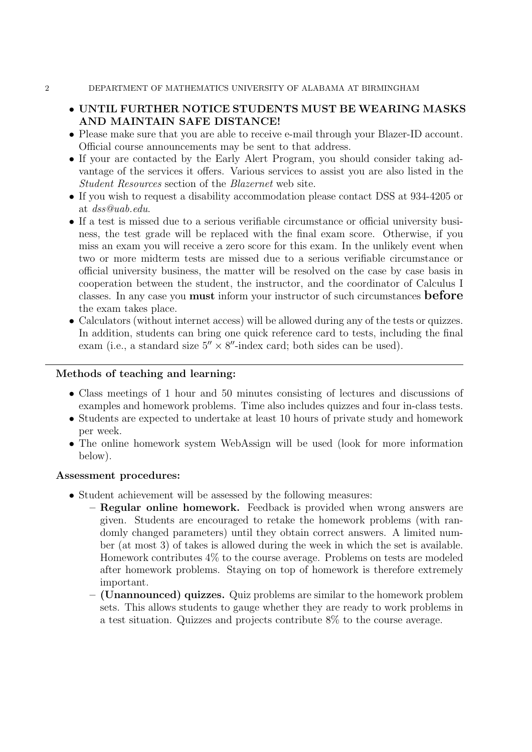- 2 DEPARTMENT OF MATHEMATICS UNIVERSITY OF ALABAMA AT BIRMINGHAM
	- UNTIL FURTHER NOTICE STUDENTS MUST BE WEARING MASKS AND MAINTAIN SAFE DISTANCE!
	- Please make sure that you are able to receive e-mail through your Blazer-ID account. Official course announcements may be sent to that address.
	- If your are contacted by the Early Alert Program, you should consider taking advantage of the services it offers. Various services to assist you are also listed in the Student Resources section of the Blazernet web site.
	- If you wish to request a disability accommodation please contact DSS at 934-4205 or at dss@uab.edu.
	- If a test is missed due to a serious verifiable circumstance or official university business, the test grade will be replaced with the final exam score. Otherwise, if you miss an exam you will receive a zero score for this exam. In the unlikely event when two or more midterm tests are missed due to a serious verifiable circumstance or official university business, the matter will be resolved on the case by case basis in cooperation between the student, the instructor, and the coordinator of Calculus I classes. In any case you must inform your instructor of such circumstances before the exam takes place.
	- Calculators (without internet access) will be allowed during any of the tests or quizzes. In addition, students can bring one quick reference card to tests, including the final exam (i.e., a standard size  $5'' \times 8''$ -index card; both sides can be used).

## Methods of teaching and learning:

- Class meetings of 1 hour and 50 minutes consisting of lectures and discussions of examples and homework problems. Time also includes quizzes and four in-class tests.
- Students are expected to undertake at least 10 hours of private study and homework per week.
- The online homework system WebAssign will be used (look for more information below).

## Assessment procedures:

- Student achievement will be assessed by the following measures:
	- Regular online homework. Feedback is provided when wrong answers are given. Students are encouraged to retake the homework problems (with randomly changed parameters) until they obtain correct answers. A limited number (at most 3) of takes is allowed during the week in which the set is available. Homework contributes 4% to the course average. Problems on tests are modeled after homework problems. Staying on top of homework is therefore extremely important.
	- (Unannounced) quizzes. Quiz problems are similar to the homework problem sets. This allows students to gauge whether they are ready to work problems in a test situation. Quizzes and projects contribute 8% to the course average.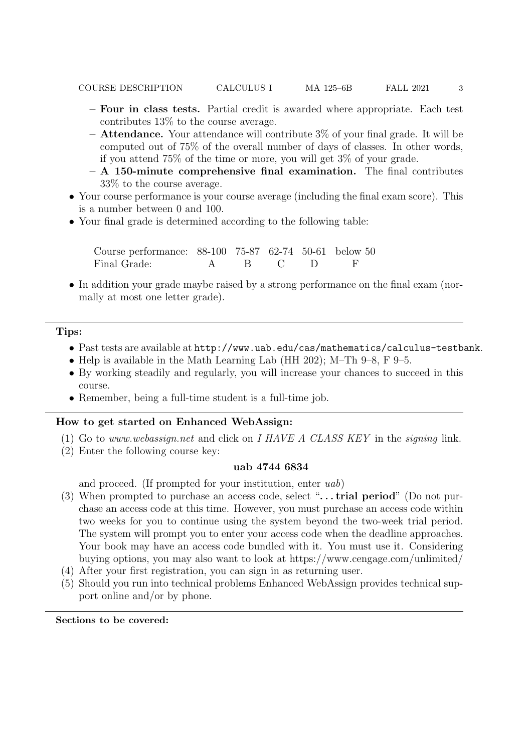- Four in class tests. Partial credit is awarded where appropriate. Each test contributes 13% to the course average.
- $-$  Attendance. Your attendance will contribute  $3\%$  of your final grade. It will be computed out of 75% of the overall number of days of classes. In other words, if you attend 75% of the time or more, you will get 3% of your grade.
- $A 150$ -minute comprehensive final examination. The final contributes 33% to the course average.
- Your course performance is your course average (including the final exam score). This is a number between 0 and 100.
- Your final grade is determined according to the following table:

Course performance: 88-100 75-87 62-74 50-61 below 50 Final Grade: A B C D F

• In addition your grade maybe raised by a strong performance on the final exam (normally at most one letter grade).

#### Tips:

- Past tests are available at http://www.uab.edu/cas/mathematics/calculus-testbank.
- Help is available in the Math Learning Lab (HH 202); M–Th 9–8, F 9–5.
- By working steadily and regularly, you will increase your chances to succeed in this course.
- Remember, being a full-time student is a full-time job.

### How to get started on Enhanced WebAssign:

- (1) Go to www.webassign.net and click on I HAVE A CLASS KEY in the signing link.
- (2) Enter the following course key:

### uab 4744 6834

and proceed. (If prompted for your institution, enter uab)

- (3) When prompted to purchase an access code, select " $\ldots$  trial period" (Do not purchase an access code at this time. However, you must purchase an access code within two weeks for you to continue using the system beyond the two-week trial period. The system will prompt you to enter your access code when the deadline approaches. Your book may have an access code bundled with it. You must use it. Considering buying options, you may also want to look at https://www.cengage.com/unlimited/
- (4) After your first registration, you can sign in as returning user.
- (5) Should you run into technical problems Enhanced WebAssign provides technical support online and/or by phone.

Sections to be covered: